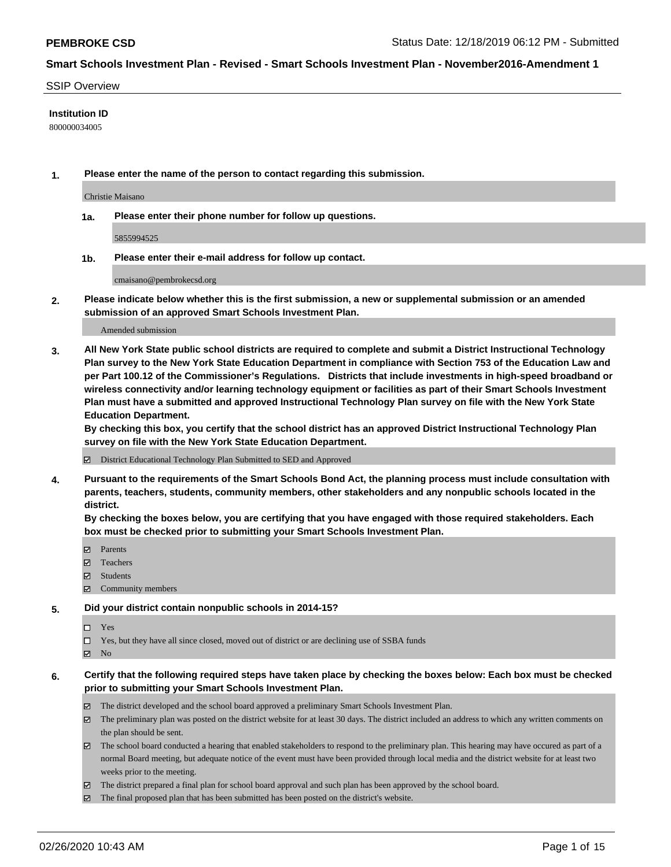#### SSIP Overview

#### **Institution ID**

800000034005

**1. Please enter the name of the person to contact regarding this submission.**

Christie Maisano

**1a. Please enter their phone number for follow up questions.**

5855994525

**1b. Please enter their e-mail address for follow up contact.**

cmaisano@pembrokecsd.org

**2. Please indicate below whether this is the first submission, a new or supplemental submission or an amended submission of an approved Smart Schools Investment Plan.**

#### Amended submission

**3. All New York State public school districts are required to complete and submit a District Instructional Technology Plan survey to the New York State Education Department in compliance with Section 753 of the Education Law and per Part 100.12 of the Commissioner's Regulations. Districts that include investments in high-speed broadband or wireless connectivity and/or learning technology equipment or facilities as part of their Smart Schools Investment Plan must have a submitted and approved Instructional Technology Plan survey on file with the New York State Education Department.** 

**By checking this box, you certify that the school district has an approved District Instructional Technology Plan survey on file with the New York State Education Department.**

District Educational Technology Plan Submitted to SED and Approved

**4. Pursuant to the requirements of the Smart Schools Bond Act, the planning process must include consultation with parents, teachers, students, community members, other stakeholders and any nonpublic schools located in the district.** 

**By checking the boxes below, you are certifying that you have engaged with those required stakeholders. Each box must be checked prior to submitting your Smart Schools Investment Plan.**

- **マ** Parents
- Teachers
- Students
- $\Xi$  Community members

#### **5. Did your district contain nonpublic schools in 2014-15?**

 $\neg$  Yes

Yes, but they have all since closed, moved out of district or are declining use of SSBA funds

**Z** No

#### **6. Certify that the following required steps have taken place by checking the boxes below: Each box must be checked prior to submitting your Smart Schools Investment Plan.**

- The district developed and the school board approved a preliminary Smart Schools Investment Plan.
- $\boxtimes$  The preliminary plan was posted on the district website for at least 30 days. The district included an address to which any written comments on the plan should be sent.
- $\boxtimes$  The school board conducted a hearing that enabled stakeholders to respond to the preliminary plan. This hearing may have occured as part of a normal Board meeting, but adequate notice of the event must have been provided through local media and the district website for at least two weeks prior to the meeting.
- The district prepared a final plan for school board approval and such plan has been approved by the school board.
- The final proposed plan that has been submitted has been posted on the district's website.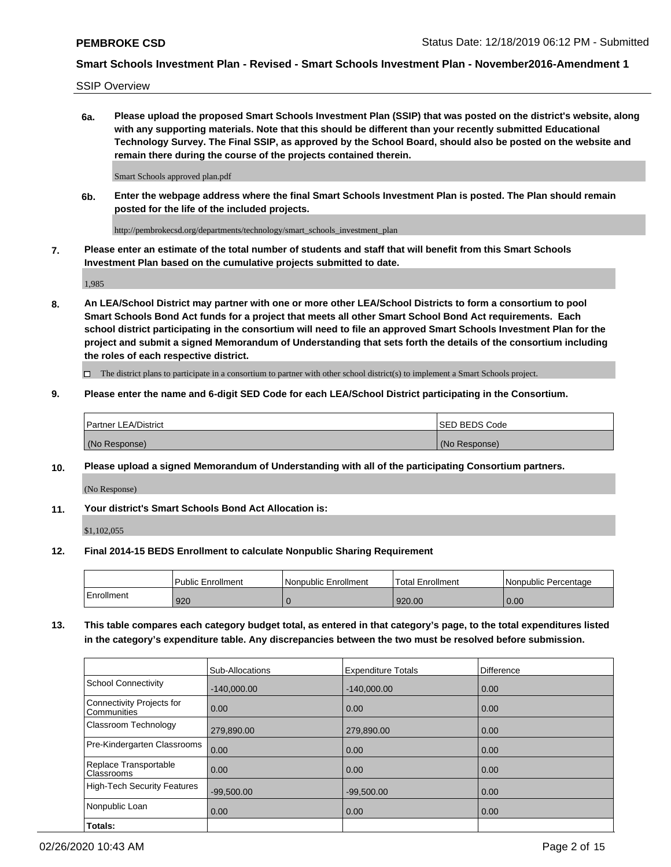SSIP Overview

**6a. Please upload the proposed Smart Schools Investment Plan (SSIP) that was posted on the district's website, along with any supporting materials. Note that this should be different than your recently submitted Educational Technology Survey. The Final SSIP, as approved by the School Board, should also be posted on the website and remain there during the course of the projects contained therein.**

Smart Schools approved plan.pdf

**6b. Enter the webpage address where the final Smart Schools Investment Plan is posted. The Plan should remain posted for the life of the included projects.**

http://pembrokecsd.org/departments/technology/smart\_schools\_investment\_plan

**7. Please enter an estimate of the total number of students and staff that will benefit from this Smart Schools Investment Plan based on the cumulative projects submitted to date.**

1,985

**8. An LEA/School District may partner with one or more other LEA/School Districts to form a consortium to pool Smart Schools Bond Act funds for a project that meets all other Smart School Bond Act requirements. Each school district participating in the consortium will need to file an approved Smart Schools Investment Plan for the project and submit a signed Memorandum of Understanding that sets forth the details of the consortium including the roles of each respective district.**

 $\Box$  The district plans to participate in a consortium to partner with other school district(s) to implement a Smart Schools project.

#### **9. Please enter the name and 6-digit SED Code for each LEA/School District participating in the Consortium.**

| Partner LEA/District | <b>ISED BEDS Code</b> |
|----------------------|-----------------------|
| (No Response)        | (No Response)         |

#### **10. Please upload a signed Memorandum of Understanding with all of the participating Consortium partners.**

(No Response)

**11. Your district's Smart Schools Bond Act Allocation is:**

\$1,102,055

#### **12. Final 2014-15 BEDS Enrollment to calculate Nonpublic Sharing Requirement**

|            | Public Enrollment | Nonpublic Enrollment | Total Enrollment | I Nonpublic Percentage |
|------------|-------------------|----------------------|------------------|------------------------|
| Enrollment | 920               |                      | 920.00           | 0.00                   |

**13. This table compares each category budget total, as entered in that category's page, to the total expenditures listed in the category's expenditure table. Any discrepancies between the two must be resolved before submission.**

|                                          | Sub-Allocations | <b>Expenditure Totals</b> | Difference |
|------------------------------------------|-----------------|---------------------------|------------|
| <b>School Connectivity</b>               | $-140,000.00$   | $-140,000.00$             | 0.00       |
| Connectivity Projects for<br>Communities | 0.00            | 0.00                      | 0.00       |
| Classroom Technology                     | 279,890.00      | 279,890.00                | 0.00       |
| Pre-Kindergarten Classrooms              | 0.00            | 0.00                      | 0.00       |
| Replace Transportable<br>Classrooms      | 0.00            | 0.00                      | 0.00       |
| <b>High-Tech Security Features</b>       | $-99,500.00$    | $-99,500.00$              | 0.00       |
| Nonpublic Loan                           | 0.00            | 0.00                      | 0.00       |
| Totals:                                  |                 |                           |            |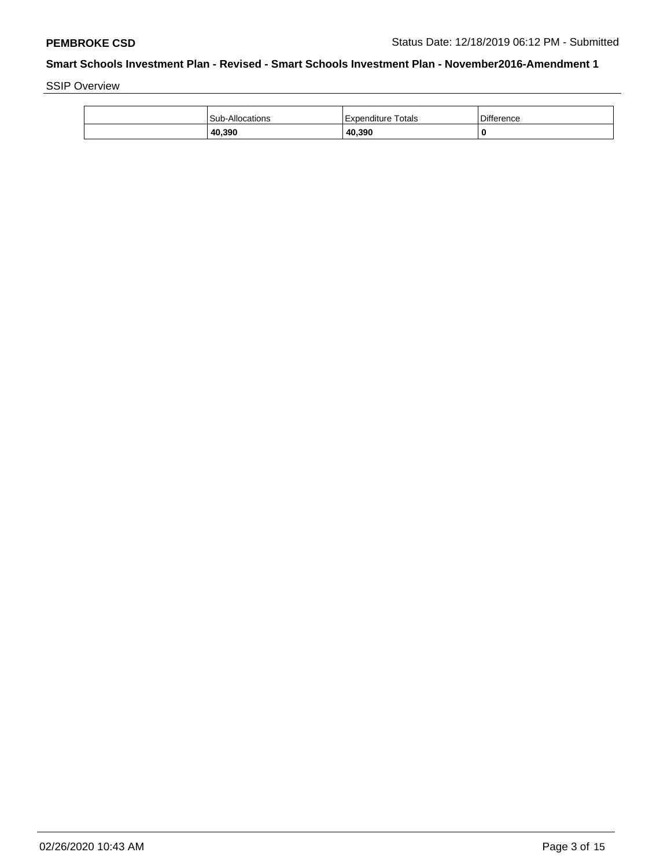SSIP Overview

| 40,390          | 40,390             | 0                 |
|-----------------|--------------------|-------------------|
| Sub-Allocations | Expenditure Totals | <b>Difference</b> |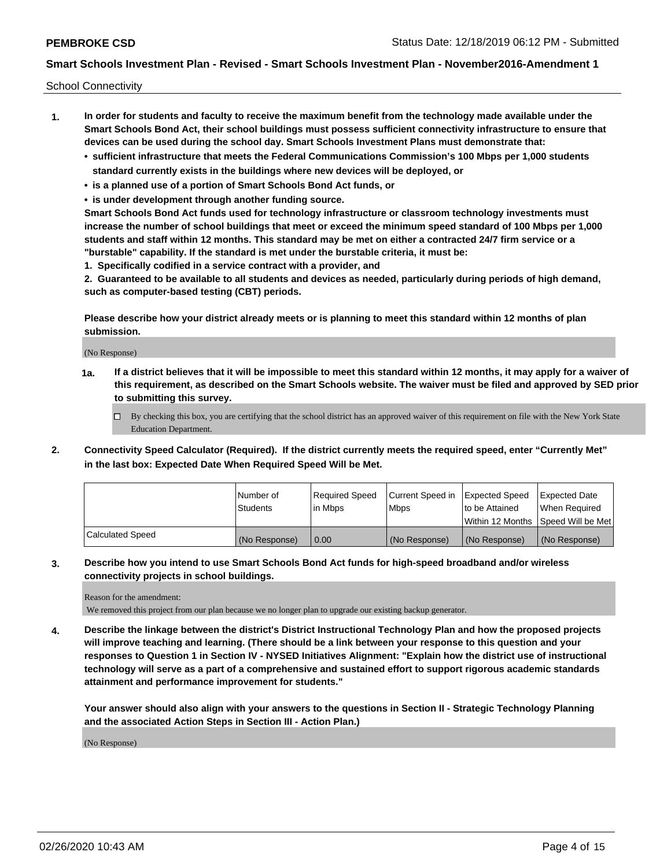School Connectivity

- **1. In order for students and faculty to receive the maximum benefit from the technology made available under the Smart Schools Bond Act, their school buildings must possess sufficient connectivity infrastructure to ensure that devices can be used during the school day. Smart Schools Investment Plans must demonstrate that:**
	- **• sufficient infrastructure that meets the Federal Communications Commission's 100 Mbps per 1,000 students standard currently exists in the buildings where new devices will be deployed, or**
	- **• is a planned use of a portion of Smart Schools Bond Act funds, or**
	- **• is under development through another funding source.**

**Smart Schools Bond Act funds used for technology infrastructure or classroom technology investments must increase the number of school buildings that meet or exceed the minimum speed standard of 100 Mbps per 1,000 students and staff within 12 months. This standard may be met on either a contracted 24/7 firm service or a "burstable" capability. If the standard is met under the burstable criteria, it must be:**

**1. Specifically codified in a service contract with a provider, and**

**2. Guaranteed to be available to all students and devices as needed, particularly during periods of high demand, such as computer-based testing (CBT) periods.**

**Please describe how your district already meets or is planning to meet this standard within 12 months of plan submission.**

(No Response)

**1a. If a district believes that it will be impossible to meet this standard within 12 months, it may apply for a waiver of this requirement, as described on the Smart Schools website. The waiver must be filed and approved by SED prior to submitting this survey.**

 $\Box$  By checking this box, you are certifying that the school district has an approved waiver of this requirement on file with the New York State Education Department.

**2. Connectivity Speed Calculator (Required). If the district currently meets the required speed, enter "Currently Met" in the last box: Expected Date When Required Speed Will be Met.**

|                  | l Number of     | Required Speed | Current Speed in | <b>Expected Speed</b> | <b>Expected Date</b>                |
|------------------|-----------------|----------------|------------------|-----------------------|-------------------------------------|
|                  | <b>Students</b> | l in Mbps      | <b>Mbps</b>      | to be Attained        | When Required                       |
|                  |                 |                |                  |                       | Within 12 Months ISpeed Will be Met |
| Calculated Speed | (No Response)   | 0.00           | (No Response)    | (No Response)         | (No Response)                       |

#### **3. Describe how you intend to use Smart Schools Bond Act funds for high-speed broadband and/or wireless connectivity projects in school buildings.**

Reason for the amendment:

We removed this project from our plan because we no longer plan to upgrade our existing backup generator.

**4. Describe the linkage between the district's District Instructional Technology Plan and how the proposed projects will improve teaching and learning. (There should be a link between your response to this question and your responses to Question 1 in Section IV - NYSED Initiatives Alignment: "Explain how the district use of instructional technology will serve as a part of a comprehensive and sustained effort to support rigorous academic standards attainment and performance improvement for students."** 

**Your answer should also align with your answers to the questions in Section II - Strategic Technology Planning and the associated Action Steps in Section III - Action Plan.)**

(No Response)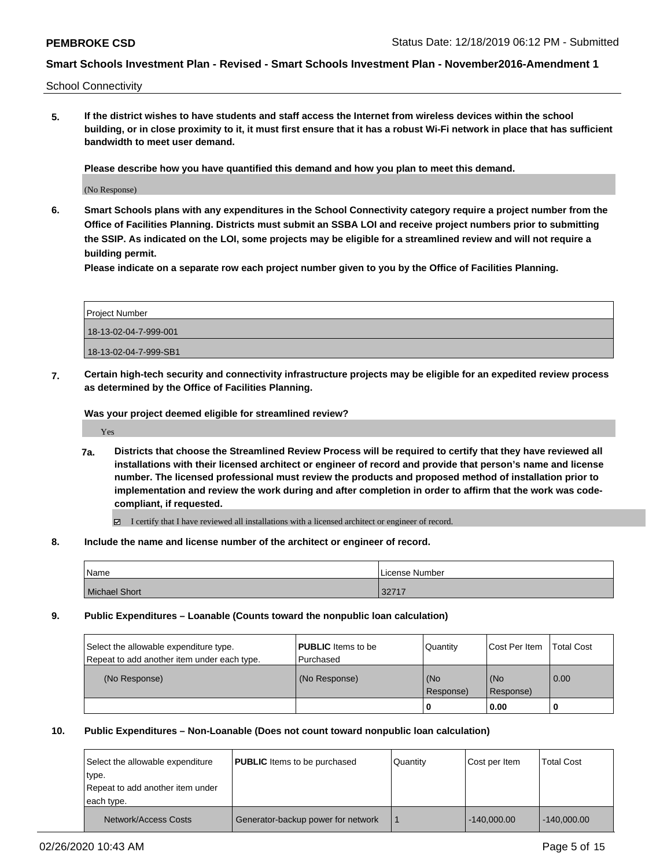School Connectivity

**5. If the district wishes to have students and staff access the Internet from wireless devices within the school building, or in close proximity to it, it must first ensure that it has a robust Wi-Fi network in place that has sufficient bandwidth to meet user demand.**

**Please describe how you have quantified this demand and how you plan to meet this demand.**

(No Response)

**6. Smart Schools plans with any expenditures in the School Connectivity category require a project number from the Office of Facilities Planning. Districts must submit an SSBA LOI and receive project numbers prior to submitting the SSIP. As indicated on the LOI, some projects may be eligible for a streamlined review and will not require a building permit.**

**Please indicate on a separate row each project number given to you by the Office of Facilities Planning.**

| Project Number        |
|-----------------------|
| 18-13-02-04-7-999-001 |
| 18-13-02-04-7-999-SB1 |

**7. Certain high-tech security and connectivity infrastructure projects may be eligible for an expedited review process as determined by the Office of Facilities Planning.**

**Was your project deemed eligible for streamlined review?**

Yes

**7a. Districts that choose the Streamlined Review Process will be required to certify that they have reviewed all installations with their licensed architect or engineer of record and provide that person's name and license number. The licensed professional must review the products and proposed method of installation prior to implementation and review the work during and after completion in order to affirm that the work was codecompliant, if requested.**

I certify that I have reviewed all installations with a licensed architect or engineer of record.

**8. Include the name and license number of the architect or engineer of record.**

| Name                 | License Number |
|----------------------|----------------|
| <b>Michael Short</b> | .22747<br>34 L |

**9. Public Expenditures – Loanable (Counts toward the nonpublic loan calculation)**

| Select the allowable expenditure type.<br>Repeat to add another item under each type. | <b>PUBLIC</b> Items to be<br>l Purchased | Quantity    | Cost Per Item | <b>Total Cost</b> |
|---------------------------------------------------------------------------------------|------------------------------------------|-------------|---------------|-------------------|
| (No Response)                                                                         | (No Response)                            | (No         | (No           | $\overline{0.00}$ |
|                                                                                       |                                          | l Response) | Response)     |                   |
|                                                                                       |                                          | O           | 0.00          |                   |

#### **10. Public Expenditures – Non-Loanable (Does not count toward nonpublic loan calculation)**

| Select the allowable expenditure<br>type.<br>Repeat to add another item under<br>each type. | <b>PUBLIC</b> Items to be purchased | Quantity | Cost per Item | <b>Total Cost</b> |
|---------------------------------------------------------------------------------------------|-------------------------------------|----------|---------------|-------------------|
| Network/Access Costs                                                                        | Generator-backup power for network  |          | $-140.000.00$ | $-140.000.00$     |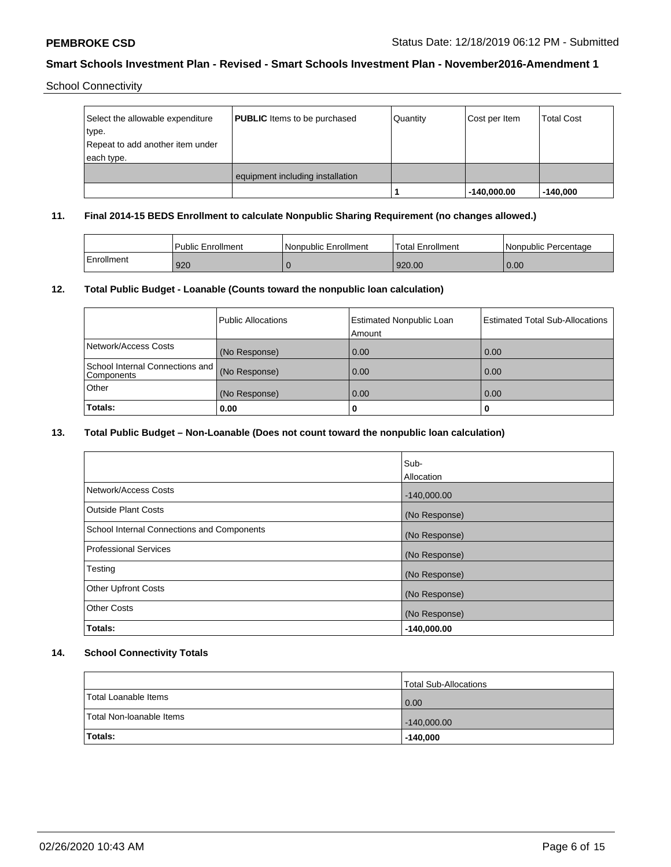School Connectivity

| Select the allowable expenditure<br>type.<br>Repeat to add another item under | <b>PUBLIC</b> Items to be purchased | Quantity | Cost per Item | <b>Total Cost</b> |
|-------------------------------------------------------------------------------|-------------------------------------|----------|---------------|-------------------|
| each type.                                                                    |                                     |          |               |                   |
|                                                                               | equipment including installation    |          |               |                   |
|                                                                               |                                     |          | $-140,000.00$ | $-140,000$        |

#### **11. Final 2014-15 BEDS Enrollment to calculate Nonpublic Sharing Requirement (no changes allowed.)**

|            | <b>Public Enrollment</b> | 'Nonpublic Enrollment | Total Enrollment | I Nonpublic Percentage |
|------------|--------------------------|-----------------------|------------------|------------------------|
| Enrollment | 920                      |                       | 920.00           | 0.00                   |

## **12. Total Public Budget - Loanable (Counts toward the nonpublic loan calculation)**

|                                                 | Public Allocations | <b>Estimated Nonpublic Loan</b><br>Amount | <b>Estimated Total Sub-Allocations</b> |
|-------------------------------------------------|--------------------|-------------------------------------------|----------------------------------------|
| Network/Access Costs                            | (No Response)      | 0.00                                      | 0.00                                   |
| School Internal Connections and  <br>Components | (No Response)      | 0.00                                      | 0.00                                   |
| <b>Other</b>                                    | (No Response)      | 0.00                                      | 0.00                                   |
| Totals:                                         | 0.00               | 0                                         |                                        |

# **13. Total Public Budget – Non-Loanable (Does not count toward the nonpublic loan calculation)**

|                                            | Sub-          |
|--------------------------------------------|---------------|
|                                            | Allocation    |
| Network/Access Costs                       | $-140,000.00$ |
| <b>Outside Plant Costs</b>                 | (No Response) |
| School Internal Connections and Components | (No Response) |
| Professional Services                      | (No Response) |
| Testing                                    | (No Response) |
| <b>Other Upfront Costs</b>                 | (No Response) |
| <b>Other Costs</b>                         | (No Response) |
| Totals:                                    | $-140,000.00$ |

### **14. School Connectivity Totals**

|                          | <b>Total Sub-Allocations</b> |
|--------------------------|------------------------------|
| Total Loanable Items     | 0.00                         |
| Total Non-Ioanable Items | $-140,000.00$                |
| Totals:                  | $-140,000$                   |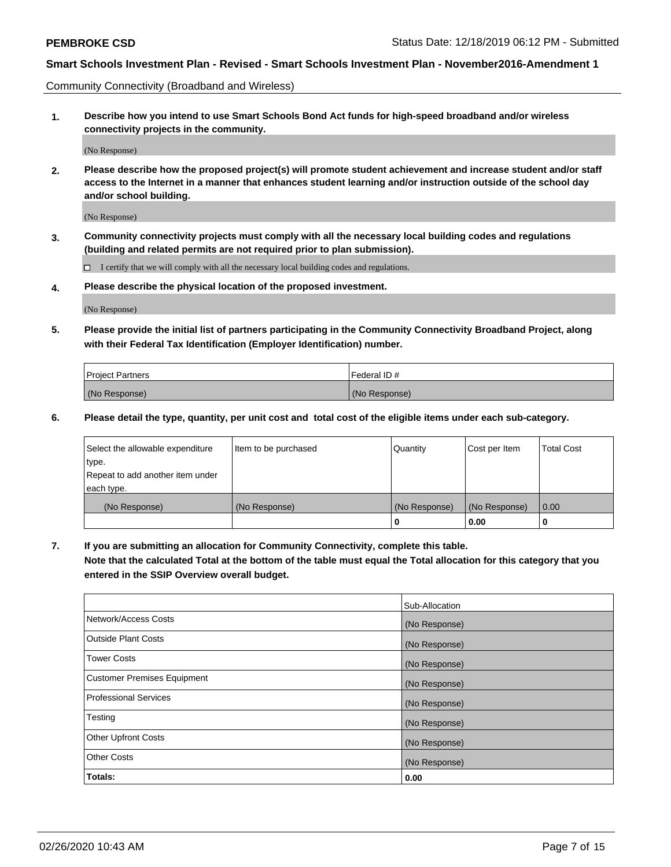Community Connectivity (Broadband and Wireless)

**1. Describe how you intend to use Smart Schools Bond Act funds for high-speed broadband and/or wireless connectivity projects in the community.**

(No Response)

**2. Please describe how the proposed project(s) will promote student achievement and increase student and/or staff access to the Internet in a manner that enhances student learning and/or instruction outside of the school day and/or school building.**

(No Response)

**3. Community connectivity projects must comply with all the necessary local building codes and regulations (building and related permits are not required prior to plan submission).**

 $\Box$  I certify that we will comply with all the necessary local building codes and regulations.

**4. Please describe the physical location of the proposed investment.**

(No Response)

**5. Please provide the initial list of partners participating in the Community Connectivity Broadband Project, along with their Federal Tax Identification (Employer Identification) number.**

| <b>Project Partners</b> | l Federal ID # |
|-------------------------|----------------|
| (No Response)           | (No Response)  |

**6. Please detail the type, quantity, per unit cost and total cost of the eligible items under each sub-category.**

| Select the allowable expenditure | Item to be purchased | Quantity      | Cost per Item | <b>Total Cost</b> |
|----------------------------------|----------------------|---------------|---------------|-------------------|
| type.                            |                      |               |               |                   |
| Repeat to add another item under |                      |               |               |                   |
| each type.                       |                      |               |               |                   |
| (No Response)                    | (No Response)        | (No Response) | (No Response) | 0.00              |
|                                  |                      | o             | 0.00          |                   |

**7. If you are submitting an allocation for Community Connectivity, complete this table.**

**Note that the calculated Total at the bottom of the table must equal the Total allocation for this category that you entered in the SSIP Overview overall budget.**

|                                    | Sub-Allocation |
|------------------------------------|----------------|
| Network/Access Costs               | (No Response)  |
| Outside Plant Costs                | (No Response)  |
| <b>Tower Costs</b>                 | (No Response)  |
| <b>Customer Premises Equipment</b> | (No Response)  |
| <b>Professional Services</b>       | (No Response)  |
| Testing                            | (No Response)  |
| <b>Other Upfront Costs</b>         | (No Response)  |
| <b>Other Costs</b>                 | (No Response)  |
| Totals:                            | 0.00           |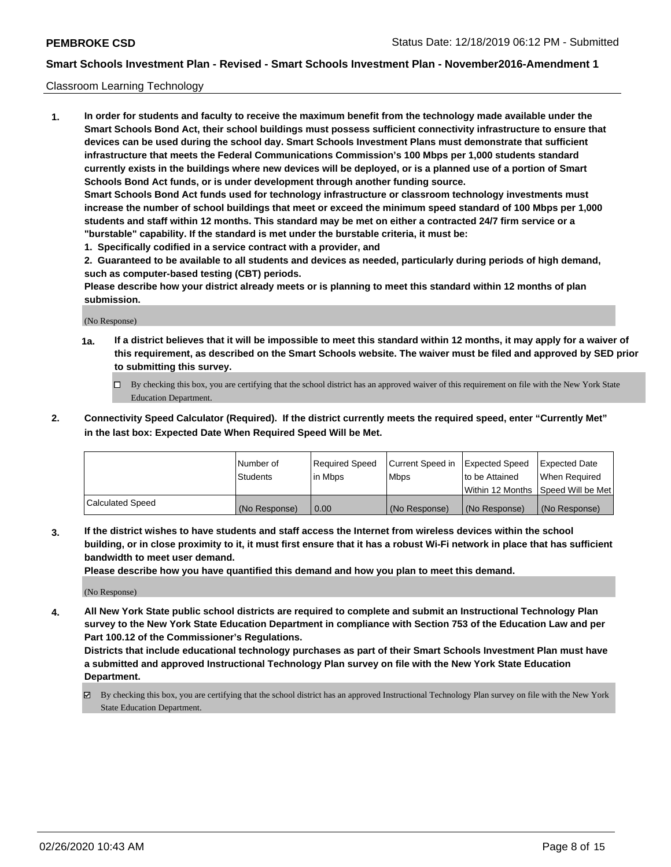#### Classroom Learning Technology

**1. In order for students and faculty to receive the maximum benefit from the technology made available under the Smart Schools Bond Act, their school buildings must possess sufficient connectivity infrastructure to ensure that devices can be used during the school day. Smart Schools Investment Plans must demonstrate that sufficient infrastructure that meets the Federal Communications Commission's 100 Mbps per 1,000 students standard currently exists in the buildings where new devices will be deployed, or is a planned use of a portion of Smart Schools Bond Act funds, or is under development through another funding source. Smart Schools Bond Act funds used for technology infrastructure or classroom technology investments must increase the number of school buildings that meet or exceed the minimum speed standard of 100 Mbps per 1,000 students and staff within 12 months. This standard may be met on either a contracted 24/7 firm service or a "burstable" capability. If the standard is met under the burstable criteria, it must be:**

**1. Specifically codified in a service contract with a provider, and**

**2. Guaranteed to be available to all students and devices as needed, particularly during periods of high demand, such as computer-based testing (CBT) periods.**

**Please describe how your district already meets or is planning to meet this standard within 12 months of plan submission.**

(No Response)

- **1a. If a district believes that it will be impossible to meet this standard within 12 months, it may apply for a waiver of this requirement, as described on the Smart Schools website. The waiver must be filed and approved by SED prior to submitting this survey.**
	- By checking this box, you are certifying that the school district has an approved waiver of this requirement on file with the New York State Education Department.
- **2. Connectivity Speed Calculator (Required). If the district currently meets the required speed, enter "Currently Met" in the last box: Expected Date When Required Speed Will be Met.**

|                         | Number of     | Required Speed | Current Speed in | Expected Speed | <b>Expected Date</b>                 |
|-------------------------|---------------|----------------|------------------|----------------|--------------------------------------|
|                         | Students      | l in Mbps      | <b>Mbps</b>      | to be Attained | When Reauired                        |
|                         |               |                |                  |                | Within 12 Months 1Speed Will be Met1 |
| <b>Calculated Speed</b> | (No Response) | 0.00           | (No Response)    | (No Response)  | (No Response)                        |

**3. If the district wishes to have students and staff access the Internet from wireless devices within the school building, or in close proximity to it, it must first ensure that it has a robust Wi-Fi network in place that has sufficient bandwidth to meet user demand.**

**Please describe how you have quantified this demand and how you plan to meet this demand.**

(No Response)

**4. All New York State public school districts are required to complete and submit an Instructional Technology Plan survey to the New York State Education Department in compliance with Section 753 of the Education Law and per Part 100.12 of the Commissioner's Regulations.**

**Districts that include educational technology purchases as part of their Smart Schools Investment Plan must have a submitted and approved Instructional Technology Plan survey on file with the New York State Education Department.**

By checking this box, you are certifying that the school district has an approved Instructional Technology Plan survey on file with the New York State Education Department.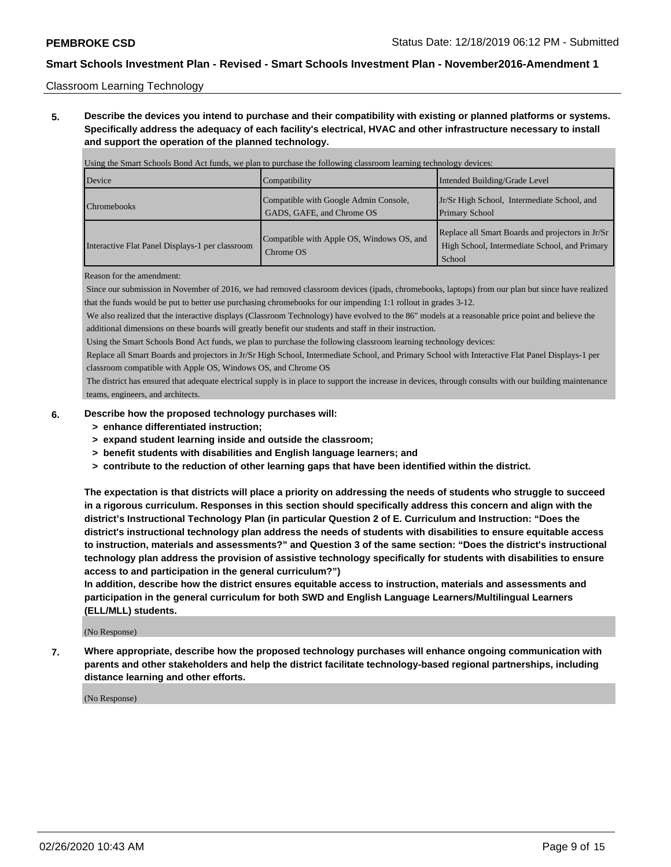Classroom Learning Technology

**5. Describe the devices you intend to purchase and their compatibility with existing or planned platforms or systems. Specifically address the adequacy of each facility's electrical, HVAC and other infrastructure necessary to install and support the operation of the planned technology.**

| Using the Smart Schools Bond Act funds, we plan to purchase the following classroom learning technology devices: |                                                                    |                                                                                                             |  |  |  |
|------------------------------------------------------------------------------------------------------------------|--------------------------------------------------------------------|-------------------------------------------------------------------------------------------------------------|--|--|--|
| Device                                                                                                           | Compatibility                                                      | Intended Building/Grade Level                                                                               |  |  |  |
| <b>Chromebooks</b>                                                                                               | Compatible with Google Admin Console,<br>GADS, GAFE, and Chrome OS | Jr/Sr High School, Intermediate School, and<br><b>Primary School</b>                                        |  |  |  |
| Interactive Flat Panel Displays-1 per classroom                                                                  | Compatible with Apple OS, Windows OS, and<br>Chrome OS             | Replace all Smart Boards and projectors in Jr/Sr<br>High School, Intermediate School, and Primary<br>School |  |  |  |

Reason for the amendment:

 Since our submission in November of 2016, we had removed classroom devices (ipads, chromebooks, laptops) from our plan but since have realized that the funds would be put to better use purchasing chromebooks for our impending 1:1 rollout in grades 3-12.

 We also realized that the interactive displays (Classroom Technology) have evolved to the 86" models at a reasonable price point and believe the additional dimensions on these boards will greatly benefit our students and staff in their instruction.

Using the Smart Schools Bond Act funds, we plan to purchase the following classroom learning technology devices:

 Replace all Smart Boards and projectors in Jr/Sr High School, Intermediate School, and Primary School with Interactive Flat Panel Displays-1 per classroom compatible with Apple OS, Windows OS, and Chrome OS

 The district has ensured that adequate electrical supply is in place to support the increase in devices, through consults with our building maintenance teams, engineers, and architects.

#### **6. Describe how the proposed technology purchases will:**

- **> enhance differentiated instruction;**
- **> expand student learning inside and outside the classroom;**
- **> benefit students with disabilities and English language learners; and**
- **> contribute to the reduction of other learning gaps that have been identified within the district.**

**The expectation is that districts will place a priority on addressing the needs of students who struggle to succeed in a rigorous curriculum. Responses in this section should specifically address this concern and align with the district's Instructional Technology Plan (in particular Question 2 of E. Curriculum and Instruction: "Does the district's instructional technology plan address the needs of students with disabilities to ensure equitable access to instruction, materials and assessments?" and Question 3 of the same section: "Does the district's instructional technology plan address the provision of assistive technology specifically for students with disabilities to ensure access to and participation in the general curriculum?")**

**In addition, describe how the district ensures equitable access to instruction, materials and assessments and participation in the general curriculum for both SWD and English Language Learners/Multilingual Learners (ELL/MLL) students.**

(No Response)

**7. Where appropriate, describe how the proposed technology purchases will enhance ongoing communication with parents and other stakeholders and help the district facilitate technology-based regional partnerships, including distance learning and other efforts.**

(No Response)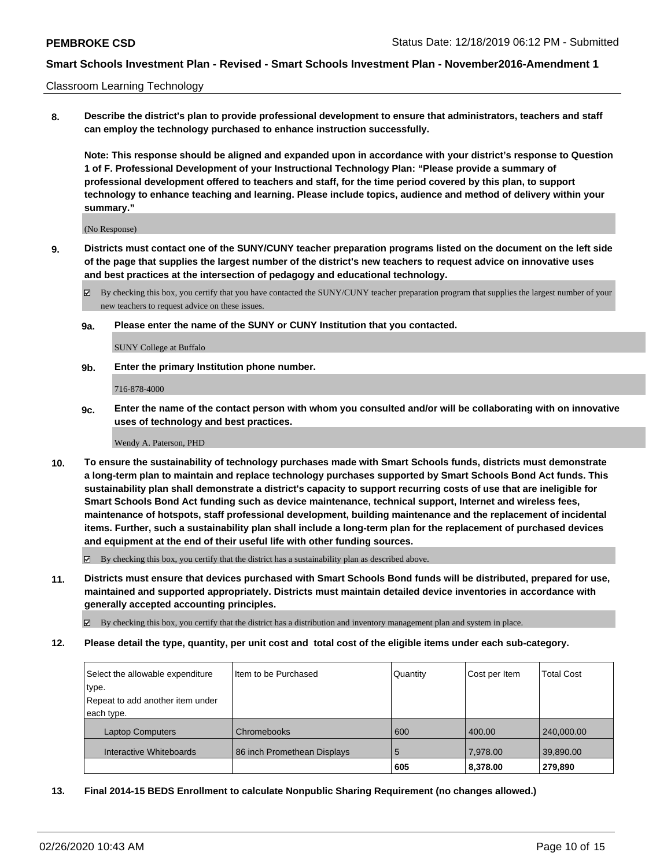Classroom Learning Technology

**8. Describe the district's plan to provide professional development to ensure that administrators, teachers and staff can employ the technology purchased to enhance instruction successfully.**

**Note: This response should be aligned and expanded upon in accordance with your district's response to Question 1 of F. Professional Development of your Instructional Technology Plan: "Please provide a summary of professional development offered to teachers and staff, for the time period covered by this plan, to support technology to enhance teaching and learning. Please include topics, audience and method of delivery within your summary."**

(No Response)

- **9. Districts must contact one of the SUNY/CUNY teacher preparation programs listed on the document on the left side of the page that supplies the largest number of the district's new teachers to request advice on innovative uses and best practices at the intersection of pedagogy and educational technology.**
	- By checking this box, you certify that you have contacted the SUNY/CUNY teacher preparation program that supplies the largest number of your new teachers to request advice on these issues.
	- **9a. Please enter the name of the SUNY or CUNY Institution that you contacted.**

SUNY College at Buffalo

**9b. Enter the primary Institution phone number.**

716-878-4000

**9c. Enter the name of the contact person with whom you consulted and/or will be collaborating with on innovative uses of technology and best practices.**

Wendy A. Paterson, PHD

**10. To ensure the sustainability of technology purchases made with Smart Schools funds, districts must demonstrate a long-term plan to maintain and replace technology purchases supported by Smart Schools Bond Act funds. This sustainability plan shall demonstrate a district's capacity to support recurring costs of use that are ineligible for Smart Schools Bond Act funding such as device maintenance, technical support, Internet and wireless fees, maintenance of hotspots, staff professional development, building maintenance and the replacement of incidental items. Further, such a sustainability plan shall include a long-term plan for the replacement of purchased devices and equipment at the end of their useful life with other funding sources.**

 $\boxtimes$  By checking this box, you certify that the district has a sustainability plan as described above.

**11. Districts must ensure that devices purchased with Smart Schools Bond funds will be distributed, prepared for use, maintained and supported appropriately. Districts must maintain detailed device inventories in accordance with generally accepted accounting principles.**

By checking this box, you certify that the district has a distribution and inventory management plan and system in place.

**12. Please detail the type, quantity, per unit cost and total cost of the eligible items under each sub-category.**

| Select the allowable expenditure | Item to be Purchased        | Quantity | Cost per Item | <b>Total Cost</b> |
|----------------------------------|-----------------------------|----------|---------------|-------------------|
| type.                            |                             |          |               |                   |
| Repeat to add another item under |                             |          |               |                   |
| each type.                       |                             |          |               |                   |
| <b>Laptop Computers</b>          | Chromebooks                 | 600      | 400.00        | 240,000.00        |
| Interactive Whiteboards          | 86 inch Promethean Displays | 5        | 7.978.00      | 39,890.00         |
|                                  |                             | 605      | 8,378.00      | 279,890           |

**13. Final 2014-15 BEDS Enrollment to calculate Nonpublic Sharing Requirement (no changes allowed.)**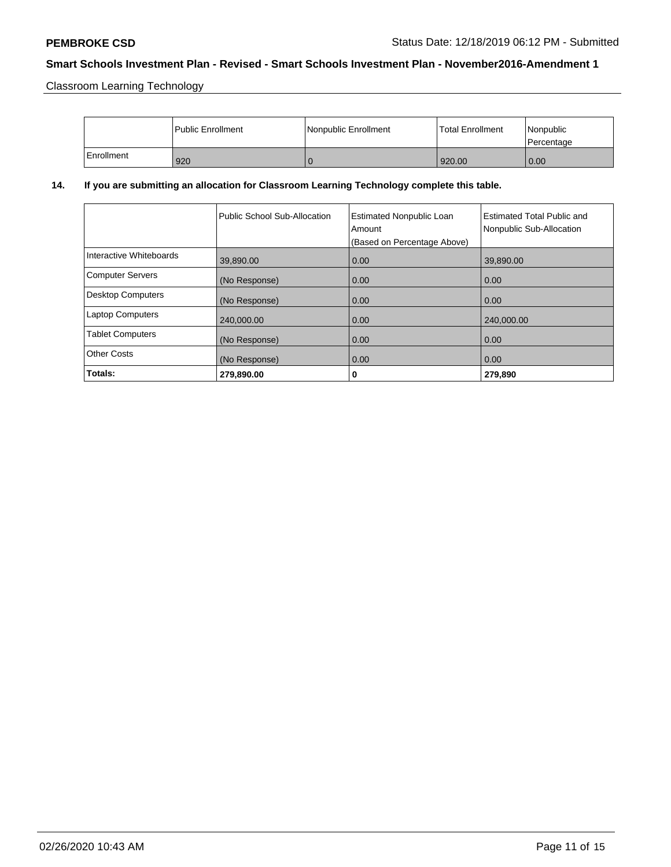Classroom Learning Technology

|            | Public Enrollment | Nonpublic Enrollment | <b>Total Enrollment</b> | Nonpublic<br>l Percentage |
|------------|-------------------|----------------------|-------------------------|---------------------------|
| Enrollment | 920               |                      | 920.00                  | 0.00                      |

## **14. If you are submitting an allocation for Classroom Learning Technology complete this table.**

|                          | Public School Sub-Allocation | <b>Estimated Nonpublic Loan</b><br>Amount<br>(Based on Percentage Above) | Estimated Total Public and<br>Nonpublic Sub-Allocation |
|--------------------------|------------------------------|--------------------------------------------------------------------------|--------------------------------------------------------|
| Interactive Whiteboards  | 39,890.00                    | 0.00                                                                     | 39,890.00                                              |
| <b>Computer Servers</b>  | (No Response)                | 0.00                                                                     | 0.00                                                   |
| <b>Desktop Computers</b> | (No Response)                | 0.00                                                                     | 0.00                                                   |
| <b>Laptop Computers</b>  | 240,000.00                   | 0.00                                                                     | 240,000.00                                             |
| <b>Tablet Computers</b>  | (No Response)                | 0.00                                                                     | 0.00                                                   |
| <b>Other Costs</b>       | (No Response)                | 0.00                                                                     | 0.00                                                   |
| Totals:                  | 279,890.00                   | 0                                                                        | 279,890                                                |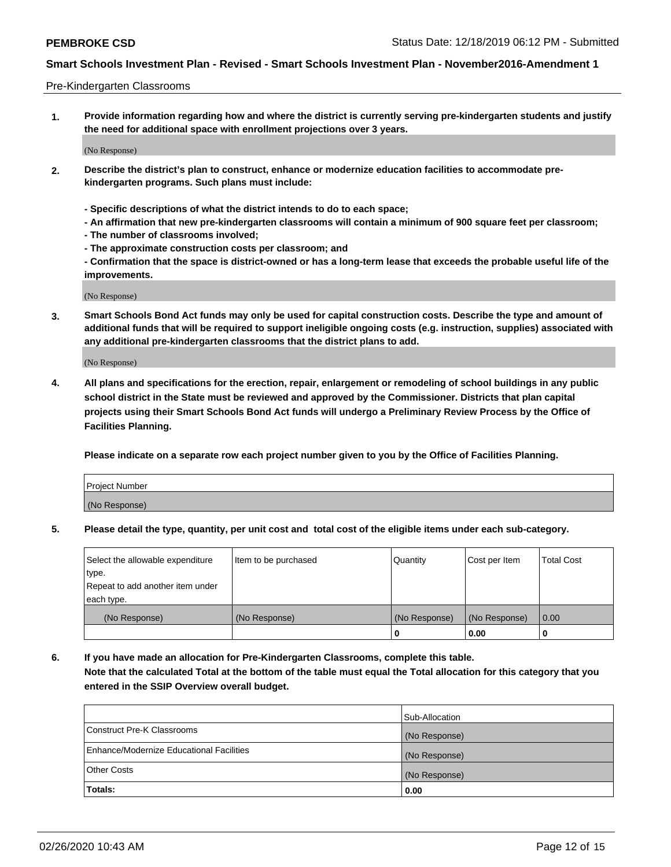#### Pre-Kindergarten Classrooms

**1. Provide information regarding how and where the district is currently serving pre-kindergarten students and justify the need for additional space with enrollment projections over 3 years.**

(No Response)

- **2. Describe the district's plan to construct, enhance or modernize education facilities to accommodate prekindergarten programs. Such plans must include:**
	- **Specific descriptions of what the district intends to do to each space;**
	- **An affirmation that new pre-kindergarten classrooms will contain a minimum of 900 square feet per classroom;**
	- **The number of classrooms involved;**
	- **The approximate construction costs per classroom; and**
	- **Confirmation that the space is district-owned or has a long-term lease that exceeds the probable useful life of the improvements.**

(No Response)

**3. Smart Schools Bond Act funds may only be used for capital construction costs. Describe the type and amount of additional funds that will be required to support ineligible ongoing costs (e.g. instruction, supplies) associated with any additional pre-kindergarten classrooms that the district plans to add.**

(No Response)

**4. All plans and specifications for the erection, repair, enlargement or remodeling of school buildings in any public school district in the State must be reviewed and approved by the Commissioner. Districts that plan capital projects using their Smart Schools Bond Act funds will undergo a Preliminary Review Process by the Office of Facilities Planning.**

**Please indicate on a separate row each project number given to you by the Office of Facilities Planning.**

| Project Number |  |
|----------------|--|
| (No Response)  |  |
|                |  |

**5. Please detail the type, quantity, per unit cost and total cost of the eligible items under each sub-category.**

| Select the allowable expenditure | Item to be purchased | Quantity      | Cost per Item | <b>Total Cost</b> |
|----------------------------------|----------------------|---------------|---------------|-------------------|
| type.                            |                      |               |               |                   |
| Repeat to add another item under |                      |               |               |                   |
| each type.                       |                      |               |               |                   |
| (No Response)                    | (No Response)        | (No Response) | (No Response) | 0.00              |
|                                  |                      | υ             | 0.00          |                   |

**6. If you have made an allocation for Pre-Kindergarten Classrooms, complete this table. Note that the calculated Total at the bottom of the table must equal the Total allocation for this category that you entered in the SSIP Overview overall budget.**

|                                          | Sub-Allocation |
|------------------------------------------|----------------|
| Construct Pre-K Classrooms               | (No Response)  |
| Enhance/Modernize Educational Facilities | (No Response)  |
| <b>Other Costs</b>                       | (No Response)  |
| Totals:                                  | 0.00           |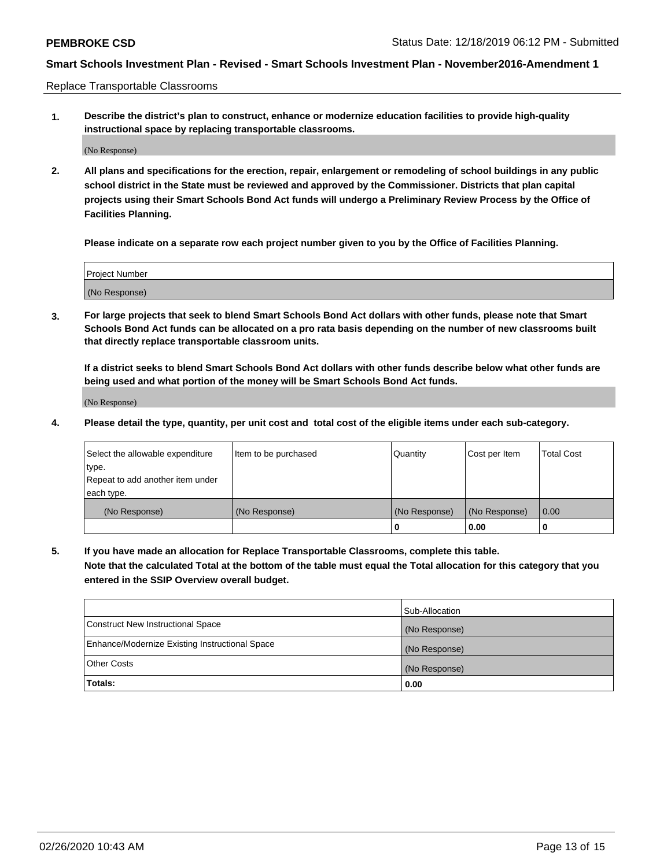Replace Transportable Classrooms

**1. Describe the district's plan to construct, enhance or modernize education facilities to provide high-quality instructional space by replacing transportable classrooms.**

(No Response)

**2. All plans and specifications for the erection, repair, enlargement or remodeling of school buildings in any public school district in the State must be reviewed and approved by the Commissioner. Districts that plan capital projects using their Smart Schools Bond Act funds will undergo a Preliminary Review Process by the Office of Facilities Planning.**

**Please indicate on a separate row each project number given to you by the Office of Facilities Planning.**

| Project Number |  |
|----------------|--|
|                |  |
|                |  |
|                |  |
| (No Response)  |  |
|                |  |
|                |  |

**3. For large projects that seek to blend Smart Schools Bond Act dollars with other funds, please note that Smart Schools Bond Act funds can be allocated on a pro rata basis depending on the number of new classrooms built that directly replace transportable classroom units.**

**If a district seeks to blend Smart Schools Bond Act dollars with other funds describe below what other funds are being used and what portion of the money will be Smart Schools Bond Act funds.**

(No Response)

**4. Please detail the type, quantity, per unit cost and total cost of the eligible items under each sub-category.**

| Select the allowable expenditure | Item to be purchased | Quantity      | Cost per Item | Total Cost |
|----------------------------------|----------------------|---------------|---------------|------------|
| ∣type.                           |                      |               |               |            |
| Repeat to add another item under |                      |               |               |            |
| each type.                       |                      |               |               |            |
| (No Response)                    | (No Response)        | (No Response) | (No Response) | 0.00       |
|                                  |                      | u             | 0.00          |            |

**5. If you have made an allocation for Replace Transportable Classrooms, complete this table. Note that the calculated Total at the bottom of the table must equal the Total allocation for this category that you entered in the SSIP Overview overall budget.**

|                                                | Sub-Allocation |
|------------------------------------------------|----------------|
| Construct New Instructional Space              | (No Response)  |
| Enhance/Modernize Existing Instructional Space | (No Response)  |
| <b>Other Costs</b>                             | (No Response)  |
| Totals:                                        | 0.00           |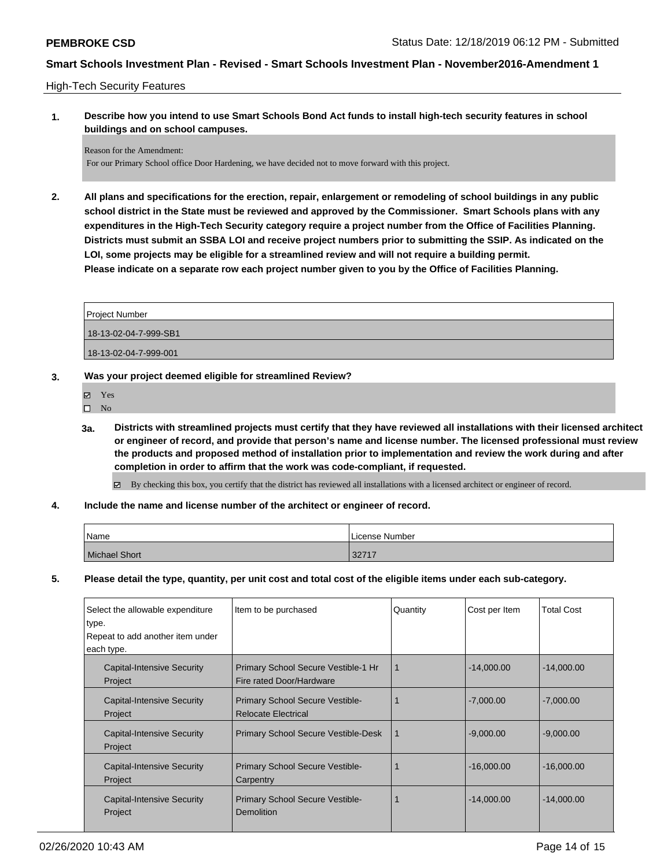#### High-Tech Security Features

**1. Describe how you intend to use Smart Schools Bond Act funds to install high-tech security features in school buildings and on school campuses.**

Reason for the Amendment: For our Primary School office Door Hardening, we have decided not to move forward with this project.

**2. All plans and specifications for the erection, repair, enlargement or remodeling of school buildings in any public school district in the State must be reviewed and approved by the Commissioner. Smart Schools plans with any expenditures in the High-Tech Security category require a project number from the Office of Facilities Planning. Districts must submit an SSBA LOI and receive project numbers prior to submitting the SSIP. As indicated on the LOI, some projects may be eligible for a streamlined review and will not require a building permit. Please indicate on a separate row each project number given to you by the Office of Facilities Planning.**

| Project Number        |  |
|-----------------------|--|
| 18-13-02-04-7-999-SB1 |  |
| 18-13-02-04-7-999-001 |  |
|                       |  |

- **3. Was your project deemed eligible for streamlined Review?**
	- Yes
	- $\square$  No
	- **3a. Districts with streamlined projects must certify that they have reviewed all installations with their licensed architect or engineer of record, and provide that person's name and license number. The licensed professional must review the products and proposed method of installation prior to implementation and review the work during and after completion in order to affirm that the work was code-compliant, if requested.**

By checking this box, you certify that the district has reviewed all installations with a licensed architect or engineer of record.

**4. Include the name and license number of the architect or engineer of record.**

| Name          | License Number |
|---------------|----------------|
| Michael Short | 32717          |

**5. Please detail the type, quantity, per unit cost and total cost of the eligible items under each sub-category.**

| Select the allowable expenditure<br>type.<br>Repeat to add another item under<br>each type. | Item to be purchased                                                 | Quantity | Cost per Item | <b>Total Cost</b> |
|---------------------------------------------------------------------------------------------|----------------------------------------------------------------------|----------|---------------|-------------------|
| <b>Capital-Intensive Security</b><br>Project                                                | Primary School Secure Vestible-1 Hr<br>Fire rated Door/Hardware      | 1        | $-14,000.00$  | $-14,000.00$      |
| <b>Capital-Intensive Security</b><br>Project                                                | <b>Primary School Secure Vestible-</b><br><b>Relocate Electrical</b> |          | $-7,000.00$   | $-7,000.00$       |
| Capital-Intensive Security<br>Project                                                       | <b>Primary School Secure Vestible-Desk</b>                           | 1        | $-9,000.00$   | $-9,000.00$       |
| <b>Capital-Intensive Security</b><br>Project                                                | Primary School Secure Vestible-<br>Carpentry                         |          | $-16,000.00$  | $-16,000.00$      |
| Capital-Intensive Security<br>Project                                                       | <b>Primary School Secure Vestible-</b><br>Demolition                 |          | $-14,000.00$  | $-14,000.00$      |